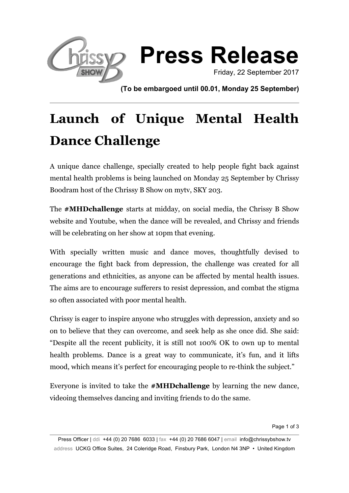

**(To be embargoed until 00.01, Monday 25 September)**

# **Launch of Unique Mental Health Dance Challenge**

A unique dance challenge, specially created to help people fight back against mental health problems is being launched on Monday 25 September by Chrissy Boodram host of the Chrissy B Show on mytv, SKY 203.

The **#MHDchallenge** starts at midday, on social media, the Chrissy B Show website and Youtube, when the dance will be revealed, and Chrissy and friends will be celebrating on her show at 10pm that evening.

With specially written music and dance moves, thoughtfully devised to encourage the fight back from depression, the challenge was created for all generations and ethnicities, as anyone can be affected by mental health issues. The aims are to encourage sufferers to resist depression, and combat the stigma so often associated with poor mental health.

Chrissy is eager to inspire anyone who struggles with depression, anxiety and so on to believe that they can overcome, and seek help as she once did. She said: "Despite all the recent publicity, it is still not 100% OK to own up to mental health problems. Dance is a great way to communicate, it's fun, and it lifts mood, which means it's perfect for encouraging people to re-think the subject."

Everyone is invited to take the **#MHDchallenge** by learning the new dance, videoing themselves dancing and inviting friends to do the same.

Page 1 of 3

Press Officer | ddi +44 (0) 20 7686 6033 | fax +44 (0) 20 7686 6047 | email info@chrissybshow.tv address UCKG Office Suites, 24 Coleridge Road, Finsbury Park, London N4 3NP • United Kingdom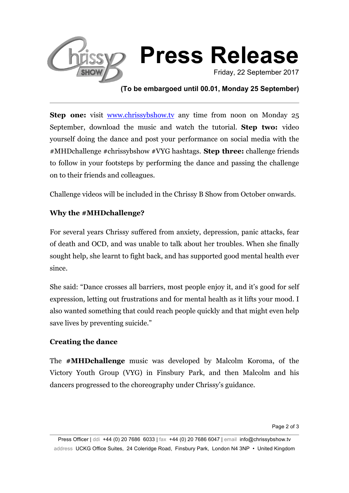

## **(To be embargoed until 00.01, Monday 25 September)**

**Step one:** visit www.chrissybshow.tv any time from noon on Monday 25 September, download the music and watch the tutorial. **Step two:** video yourself doing the dance and post your performance on social media with the #MHDchallenge #chrissybshow #VYG hashtags. **Step three:** challenge friends to follow in your footsteps by performing the dance and passing the challenge on to their friends and colleagues.

Challenge videos will be included in the Chrissy B Show from October onwards.

## **Why the #MHDchallenge?**

For several years Chrissy suffered from anxiety, depression, panic attacks, fear of death and OCD, and was unable to talk about her troubles. When she finally sought help, she learnt to fight back, and has supported good mental health ever since.

She said: "Dance crosses all barriers, most people enjoy it, and it's good for self expression, letting out frustrations and for mental health as it lifts your mood. I also wanted something that could reach people quickly and that might even help save lives by preventing suicide."

### **Creating the dance**

The **#MHDchallenge** music was developed by Malcolm Koroma, of the Victory Youth Group (VYG) in Finsbury Park, and then Malcolm and his dancers progressed to the choreography under Chrissy's guidance.